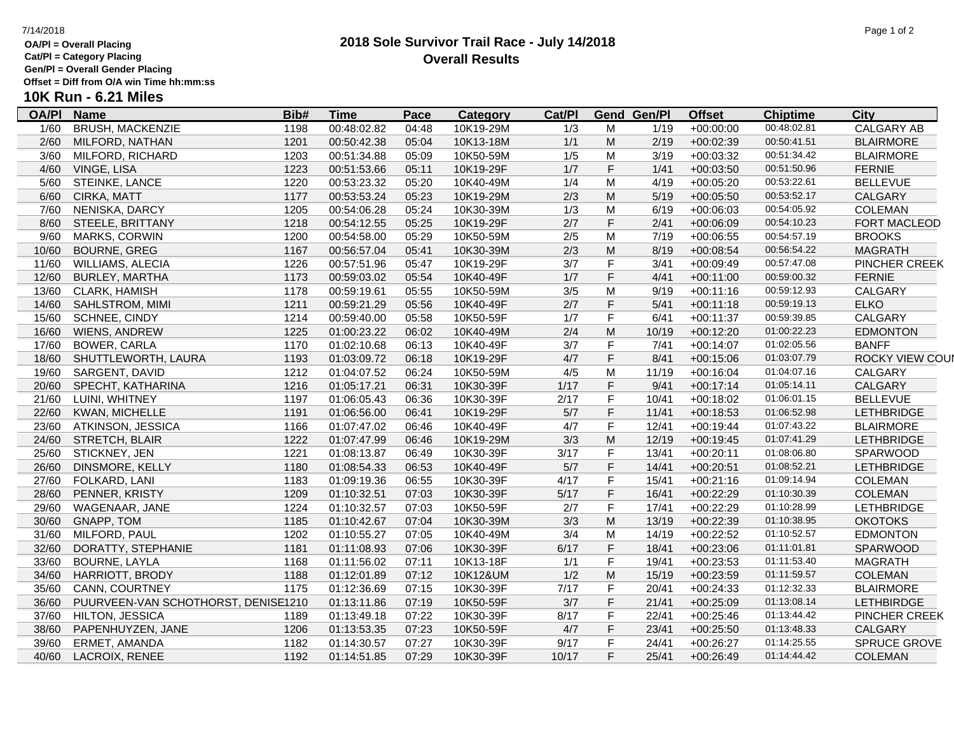## **OA/Pl = Overall Placing**

**Cat/Pl = Category Placing**

**Gen/Pl = Overall Gender Placing Offset = Diff from O/A win Time hh:mm:ss**

**10K Run - 6.21 Miles**

| <b>OA/PI</b> | <b>Name</b>                         | Bib# | <u>Time</u> | <b>Pace</b> | <b>Category</b> | Cat/PI |                                                                                       | <b>Gend Gen/Pl</b> | <b>Offset</b> | <b>Chiptime</b> | City                   |
|--------------|-------------------------------------|------|-------------|-------------|-----------------|--------|---------------------------------------------------------------------------------------|--------------------|---------------|-----------------|------------------------|
| 1/60         | <b>BRUSH, MACKENZIE</b>             | 1198 | 00:48:02.82 | 04:48       | 10K19-29M       | 1/3    | М                                                                                     | 1/19               | $+00:00:00$   | 00:48:02.81     | <b>CALGARY AB</b>      |
| 2/60         | MILFORD, NATHAN                     | 1201 | 00:50:42.38 | 05:04       | 10K13-18M       | 1/1    | M                                                                                     | 2/19               | $+00:02:39$   | 00:50:41.51     | <b>BLAIRMORE</b>       |
| 3/60         | MILFORD, RICHARD                    | 1203 | 00:51:34.88 | 05:09       | 10K50-59M       | 1/5    | M                                                                                     | 3/19               | $+00:03:32$   | 00:51:34.42     | <b>BLAIRMORE</b>       |
| 4/60         | VINGE, LISA                         | 1223 | 00:51:53.66 | 05:11       | 10K19-29F       | 1/7    | F                                                                                     | 1/41               | $+00:03:50$   | 00:51:50.96     | <b>FERNIE</b>          |
| 5/60         | STEINKE, LANCE                      | 1220 | 00:53:23.32 | 05:20       | 10K40-49M       | 1/4    | M                                                                                     | 4/19               | $+00:05:20$   | 00:53:22.61     | <b>BELLEVUE</b>        |
| 6/60         | CIRKA, MATT                         | 1177 | 00:53:53.24 | 05:23       | 10K19-29M       | 2/3    | ${\sf M}$                                                                             | 5/19               | $+00:05:50$   | 00:53:52.17     | CALGARY                |
| 7/60         | NENISKA, DARCY                      | 1205 | 00:54:06.28 | 05:24       | 10K30-39M       | 1/3    | M                                                                                     | 6/19               | $+00:06:03$   | 00:54:05.92     | <b>COLEMAN</b>         |
| 8/60         | STEELE, BRITTANY                    | 1218 | 00:54:12.55 | 05:25       | 10K19-29F       | 2/7    | F                                                                                     | 2/41               | $+00:06:09$   | 00:54:10.23     | FORT MACLEOD           |
| 9/60         | <b>MARKS, CORWIN</b>                | 1200 | 00:54:58.00 | 05:29       | 10K50-59M       | 2/5    | M                                                                                     | 7/19               | $+00:06:55$   | 00:54:57.19     | <b>BROOKS</b>          |
| 10/60        | <b>BOURNE, GREG</b>                 | 1167 | 00:56:57.04 | 05:41       | 10K30-39M       | 2/3    | ${\sf M}$                                                                             | 8/19               | $+00:08:54$   | 00:56:54.22     | <b>MAGRATH</b>         |
| 11/60        | <b>WILLIAMS, ALECIA</b>             | 1226 | 00:57:51.96 | 05:47       | 10K19-29F       | 3/7    | F                                                                                     | 3/41               | $+00:09:49$   | 00:57:47.08     | PINCHER CREEK          |
| 12/60        | <b>BURLEY, MARTHA</b>               | 1173 | 00:59:03.02 | 05:54       | 10K40-49F       | 1/7    | F                                                                                     | 4/41               | $+00:11:00$   | 00:59:00.32     | <b>FERNIE</b>          |
| 13/60        | CLARK, HAMISH                       | 1178 | 00:59:19.61 | 05:55       | 10K50-59M       | 3/5    | M                                                                                     | 9/19               | $+00:11:16$   | 00:59:12.93     | <b>CALGARY</b>         |
| 14/60        | SAHLSTROM, MIMI                     | 1211 | 00:59:21.29 | 05:56       | 10K40-49F       | 2/7    | F                                                                                     | 5/41               | $+00:11:18$   | 00:59:19.13     | <b>ELKO</b>            |
| 15/60        | SCHNEE, CINDY                       | 1214 | 00:59:40.00 | 05:58       | 10K50-59F       | 1/7    | F                                                                                     | 6/41               | $+00:11:37$   | 00:59:39.85     | CALGARY                |
| 16/60        | WIENS, ANDREW                       | 1225 | 01:00:23.22 | 06:02       | 10K40-49M       | 2/4    | $\mathsf{M}% _{T}=\mathsf{M}_{T}\!\left( a,b\right) ,\ \mathsf{M}_{T}=\mathsf{M}_{T}$ | 10/19              | $+00:12:20$   | 01:00:22.23     | <b>EDMONTON</b>        |
| 17/60        | <b>BOWER, CARLA</b>                 | 1170 | 01:02:10.68 | 06:13       | 10K40-49F       | 3/7    | F                                                                                     | 7/41               | $+00:14:07$   | 01:02:05.56     | <b>BANFF</b>           |
| 18/60        | SHUTTLEWORTH, LAURA                 | 1193 | 01:03:09.72 | 06:18       | 10K19-29F       | 4/7    | F                                                                                     | 8/41               | $+00:15:06$   | 01:03:07.79     | <b>ROCKY VIEW COUN</b> |
| 19/60        | SARGENT, DAVID                      | 1212 | 01:04:07.52 | 06:24       | 10K50-59M       | 4/5    | M                                                                                     | 11/19              | $+00:16:04$   | 01:04:07.16     | <b>CALGARY</b>         |
| 20/60        | SPECHT, KATHARINA                   | 1216 | 01:05:17.21 | 06:31       | 10K30-39F       | 1/17   | F                                                                                     | 9/41               | $+00:17:14$   | 01:05:14.11     | <b>CALGARY</b>         |
| 21/60        | LUINI, WHITNEY                      | 1197 | 01:06:05.43 | 06:36       | 10K30-39F       | 2/17   | F                                                                                     | 10/41              | $+00:18:02$   | 01:06:01.15     | <b>BELLEVUE</b>        |
| 22/60        | <b>KWAN, MICHELLE</b>               | 1191 | 01:06:56.00 | 06:41       | 10K19-29F       | 5/7    | F                                                                                     | 11/41              | $+00:18:53$   | 01:06:52.98     | <b>LETHBRIDGE</b>      |
| 23/60        | ATKINSON, JESSICA                   | 1166 | 01:07:47.02 | 06:46       | 10K40-49F       | 4/7    | F                                                                                     | 12/41              | $+00:19:44$   | 01:07:43.22     | <b>BLAIRMORE</b>       |
| 24/60        | STRETCH, BLAIR                      | 1222 | 01:07:47.99 | 06:46       | 10K19-29M       | 3/3    | $\mathsf{M}% _{T}=\mathsf{M}_{T}\!\left( a,b\right) ,\ \mathsf{M}_{T}=\mathsf{M}_{T}$ | 12/19              | $+00:19:45$   | 01:07:41.29     | <b>LETHBRIDGE</b>      |
| 25/60        | STICKNEY, JEN                       | 1221 | 01:08:13.87 | 06:49       | 10K30-39F       | 3/17   | F                                                                                     | 13/41              | $+00:20:11$   | 01:08:06.80     | SPARWOOD               |
| 26/60        | DINSMORE, KELLY                     | 1180 | 01:08:54.33 | 06:53       | 10K40-49F       | $5/7$  | F                                                                                     | 14/41              | $+00:20:51$   | 01:08:52.21     | <b>LETHBRIDGE</b>      |
| 27/60        | FOLKARD, LANI                       | 1183 | 01:09:19.36 | 06:55       | 10K30-39F       | 4/17   | F                                                                                     | 15/41              | $+00:21:16$   | 01:09:14.94     | <b>COLEMAN</b>         |
| 28/60        | PENNER, KRISTY                      | 1209 | 01:10:32.51 | 07:03       | 10K30-39F       | 5/17   | F                                                                                     | 16/41              | $+00:22:29$   | 01:10:30.39     | <b>COLEMAN</b>         |
| 29/60        | WAGENAAR, JANE                      | 1224 | 01:10:32.57 | 07:03       | 10K50-59F       | 2/7    | F                                                                                     | 17/41              | $+00:22:29$   | 01:10:28.99     | <b>LETHBRIDGE</b>      |
| 30/60        | GNAPP, TOM                          | 1185 | 01:10:42.67 | 07:04       | 10K30-39M       | 3/3    | M                                                                                     | 13/19              | $+00:22:39$   | 01:10:38.95     | <b>OKOTOKS</b>         |
| 31/60        | MILFORD, PAUL                       | 1202 | 01:10:55.27 | 07:05       | 10K40-49M       | 3/4    | M                                                                                     | 14/19              | $+00:22:52$   | 01:10:52.57     | <b>EDMONTON</b>        |
| 32/60        | DORATTY, STEPHANIE                  | 1181 | 01:11:08.93 | 07:06       | 10K30-39F       | 6/17   | F.                                                                                    | 18/41              | $+00:23:06$   | 01:11:01.81     | SPARWOOD               |
| 33/60        | <b>BOURNE, LAYLA</b>                | 1168 | 01:11:56.02 | 07:11       | 10K13-18F       | 1/1    | F                                                                                     | 19/41              | $+00:23:53$   | 01:11:53.40     | <b>MAGRATH</b>         |
| 34/60        | HARRIOTT, BRODY                     | 1188 | 01:12:01.89 | 07:12       | 10K12&UM        | 1/2    | M                                                                                     | 15/19              | $+00:23:59$   | 01:11:59.57     | <b>COLEMAN</b>         |
| 35/60        | CANN, COURTNEY                      | 1175 | 01:12:36.69 | 07:15       | 10K30-39F       | 7/17   | F                                                                                     | 20/41              | $+00:24:33$   | 01:12:32.33     | <b>BLAIRMORE</b>       |
| 36/60        | PUURVEEN-VAN SCHOTHORST, DENISE1210 |      | 01:13:11.86 | 07:19       | 10K50-59F       | 3/7    | F                                                                                     | 21/41              | $+00:25:09$   | 01:13:08.14     | <b>LETHBIRDGE</b>      |
| 37/60        | <b>HILTON, JESSICA</b>              | 1189 | 01:13:49.18 | 07:22       | 10K30-39F       | 8/17   | F                                                                                     | 22/41              | $+00:25:46$   | 01:13:44.42     | PINCHER CREEK          |
| 38/60        | PAPENHUYZEN, JANE                   | 1206 | 01:13:53.35 | 07:23       | 10K50-59F       | 4/7    | F.                                                                                    | 23/41              | $+00:25:50$   | 01:13:48.33     | <b>CALGARY</b>         |
| 39/60        | ERMET, AMANDA                       | 1182 | 01:14:30.57 | 07:27       | 10K30-39F       | 9/17   | F                                                                                     | 24/41              | $+00:26:27$   | 01:14:25.55     | SPRUCE GROVE           |
| 40/60        | LACROIX, RENEE                      | 1192 | 01:14:51.85 | 07:29       | 10K30-39F       | 10/17  | F.                                                                                    | 25/41              | $+00:26:49$   | 01:14:44.42     | <b>COLEMAN</b>         |

### **2018 Sole Survivor Trail Race - July 14/2018** 7/14/2018 Page 1 of 2 **Overall Results**